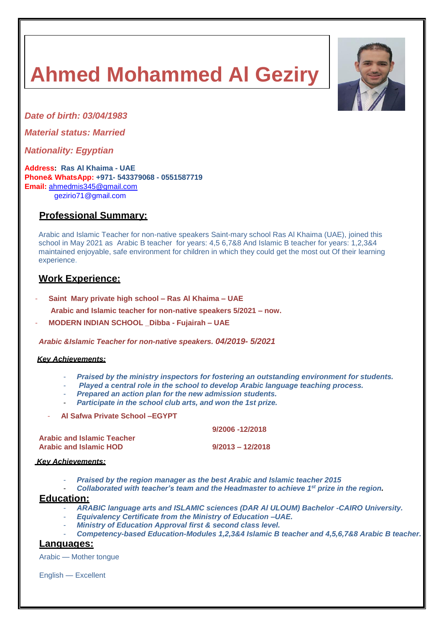# **Ahmed Mohammed Al Geziry**



*Date of birth: 03/04/1983*

*Material status: Married*

*Nationality: Egyptian*

**Address: Ras Al Khaima - UAE Phone& WhatsApp: +971- 543379068 - 0551587719 Email:** [ahmedmis345@gmail.com](mailto:ahmedmis345@gmail.com) [gezirio71@gmail.com](mailto:gezirio71@gmail.com)

## **Professional Summary:**

Arabic and Islamic Teacher for non-native speakers Saint-mary school Ras Al Khaima (UAE), joined this school in May 2021 as Arabic B teacher for years: 4,5 6,7&8 And Islamic B teacher for years: 1,2,3&4 maintained enjoyable, safe environment for children in which they could get the most out Of their learning experience.

### **Work Experience:**

- **Saint Mary private high school – Ras Al Khaima – UAE**
- **Arabic and Islamic teacher for non-native speakers 5/2021 – now.**
- **MODERN INDIAN SCHOOL \_Dibba - Fujairah – UAE**

*Arabic &Islamic Teacher for non-native speakers. 04/2019- 5/2021*

#### *Key Achievements:*

- *Praised by the ministry inspectors for fostering an outstanding environment for students.*
- *Played a central role in the school to develop Arabic language teaching process.*
- *Prepared an action plan for the new admission students.*
- *Participate in the school club arts, and won the 1st prize.*
- **Al Safwa Private School –EGYPT**

 **9/2006 -12/2018**

| <b>Arabic and Islamic Teacher</b> |                    |
|-----------------------------------|--------------------|
| <b>Arabic and Islamic HOD</b>     | $9/2013 - 12/2018$ |

#### *Key Achievements:*

- *Praised by the region manager as the best Arabic and Islamic teacher 2015*
- *Collaborated with teacher's team and the Headmaster to achieve 1 st prize in the region.*

#### **Education:**

- *ARABIC language arts and ISLAMIC sciences (DAR Al ULOUM) Bachelor -CAIRO University.*
- *Equivalency Certificate from the Ministry of Education –UAE.*
- *Ministry of Education Approval first & second class level.*
- *Competency-based Education-Modules 1,2,3&4 Islamic B teacher and 4,5,6,7&8 Arabic B teacher.*

#### **Languages:**

Arabic — Mother tongue

English — Excellent